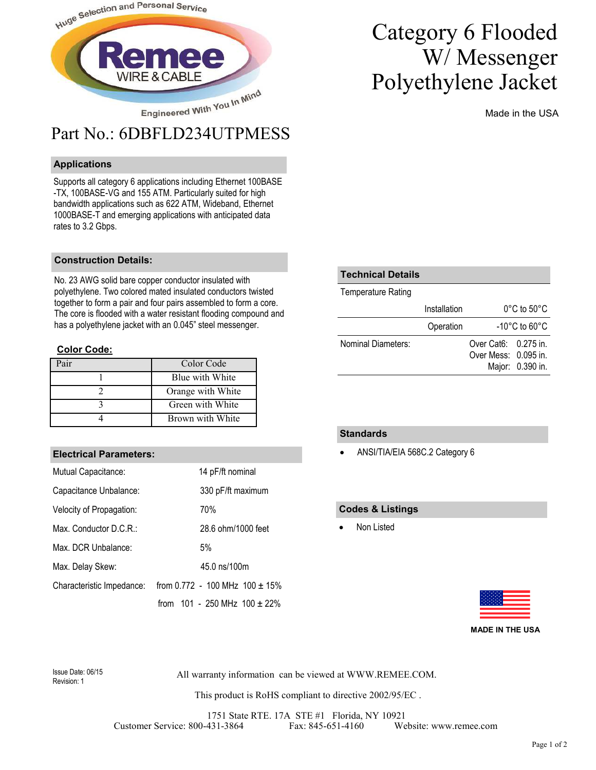

#### **Applications**

Supports all category 6 applications including Ethernet 100BASE -TX, 100BASE-VG and 155 ATM. Particularly suited for high bandwidth applications such as 622 ATM, Wideband, Ethernet 1000BASE-T and emerging applications with anticipated data rates to 3.2 Gbps.

#### **Construction Details:**

No. 23 AWG solid bare copper conductor insulated with polyethylene. Two colored mated insulated conductors twisted together to form a pair and four pairs assembled to form a core. The core is flooded with a water resistant flooding compound and has a polyethylene jacket with an 0.045" steel messenger.

#### **Color Code:**

| $\mathbf{a}_{\mathbf{a}}$ | Color Code        |
|---------------------------|-------------------|
|                           | Blue with White   |
|                           | Orange with White |
|                           | Green with White  |
|                           | Brown with White  |

#### **Electrical Parameters:**

| Mutual Capacitance:       | 14 pF/ft nominal                    |
|---------------------------|-------------------------------------|
| Capacitance Unbalance:    | 330 pF/ft maximum                   |
| Velocity of Propagation:  | 70%                                 |
| Max. Conductor D.C.R.:    | 28.6 ohm/1000 feet                  |
| Max. DCR Unbalance:       | 5%                                  |
| Max. Delay Skew:          | 45.0 ns/100m                        |
| Characteristic Impedance: | from 0.772 - 100 MHz $100 \pm 15\%$ |
|                           | from $101 - 250$ MHz $100 \pm 22\%$ |

## Category 6 Flooded W/ Messenger Polyethylene Jacket

Made in the USA

| <b>Technical Details</b>  |              |                                                |                  |  |
|---------------------------|--------------|------------------------------------------------|------------------|--|
| <b>Temperature Rating</b> |              |                                                |                  |  |
|                           | Installation | $0^{\circ}$ C to 50 $^{\circ}$ C               |                  |  |
|                           | Operation    | $-10^{\circ}$ C to 60 $^{\circ}$ C             |                  |  |
| Nominal Diameters:        |              | Over Cat $6: 0.275$ in<br>Over Mess: 0.095 in. | Major: 0.390 in. |  |

#### **Standards**

• ANSI/TIA/EIA 568C.2 Category 6

#### **Codes & Listings**

Non Listed



**MADE IN THE USA**

Revision: 1

All warranty information can be viewed at WWW.REMEE.COM. Issue Date: 06/15

This product is RoHS compliant to directive 2002/95/EC .

1751 State RTE. 17A STE #1 Florida, NY 10921 Customer Service: 800-431-3864 Fax: 845-651-4160 Website: www.remee.com